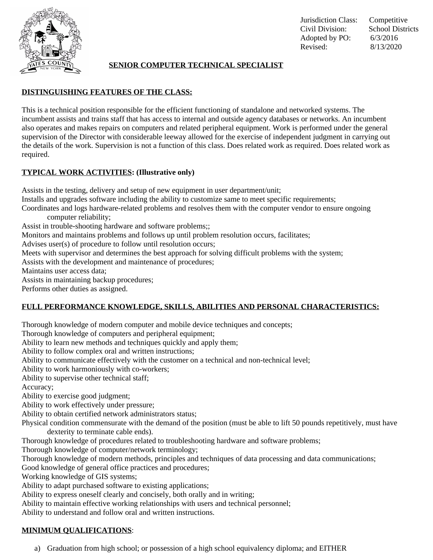

# **SENIOR COMPUTER TECHNICAL SPECIALIST**

# **DISTINGUISHING FEATURES OF THE CLASS:**

This is a technical position responsible for the efficient functioning of standalone and networked systems. The incumbent assists and trains staff that has access to internal and outside agency databases or networks. An incumbent also operates and makes repairs on computers and related peripheral equipment. Work is performed under the general supervision of the Director with considerable leeway allowed for the exercise of independent judgment in carrying out the details of the work. Supervision is not a function of this class. Does related work as required. Does related work as required.

## **TYPICAL WORK ACTIVITIES: (Illustrative only)**

Assists in the testing, delivery and setup of new equipment in user department/unit; Installs and upgrades software including the ability to customize same to meet specific requirements; Coordinates and logs hardware-related problems and resolves them with the computer vendor to ensure ongoing computer reliability; Assist in trouble-shooting hardware and software problems;; Monitors and maintains problems and follows up until problem resolution occurs, facilitates; Advises user(s) of procedure to follow until resolution occurs; Meets with supervisor and determines the best approach for solving difficult problems with the system; Assists with the development and maintenance of procedures; Maintains user access data;

Assists in maintaining backup procedures;

Performs other duties as assigned.

## **FULL PERFORMANCE KNOWLEDGE, SKILLS, ABILITIES AND PERSONAL CHARACTERISTICS:**

Thorough knowledge of modern computer and mobile device techniques and concepts;

Thorough knowledge of computers and peripheral equipment;

Ability to learn new methods and techniques quickly and apply them;

Ability to follow complex oral and written instructions;

Ability to communicate effectively with the customer on a technical and non-technical level;

Ability to work harmoniously with co-workers;

Ability to supervise other technical staff;

Accuracy;

Ability to exercise good judgment;

Ability to work effectively under pressure;

Ability to obtain certified network administrators status;

Physical condition commensurate with the demand of the position (must be able to lift 50 pounds repetitively, must have dexterity to terminate cable ends).

Thorough knowledge of procedures related to troubleshooting hardware and software problems;

Thorough knowledge of computer/network terminology;

Thorough knowledge of modern methods, principles and techniques of data processing and data communications;

Good knowledge of general office practices and procedures;

Working knowledge of GIS systems;

Ability to adapt purchased software to existing applications;

Ability to express oneself clearly and concisely, both orally and in writing;

Ability to maintain effective working relationships with users and technical personnel;

Ability to understand and follow oral and written instructions.

### **MINIMUM QUALIFICATIONS**:

a) Graduation from high school; or possession of a high school equivalency diploma; and EITHER